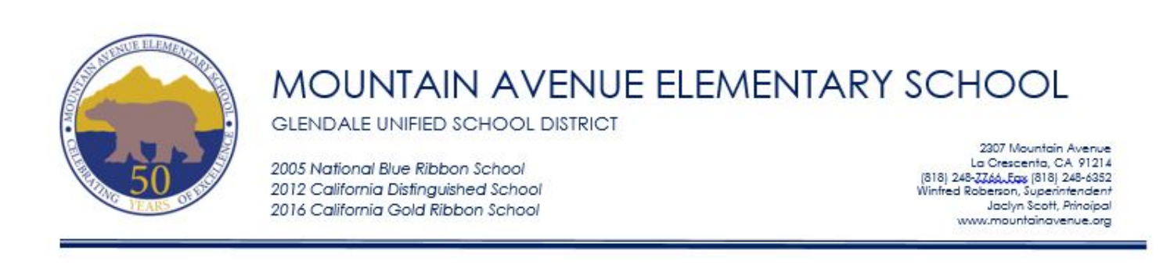

### MOUNTAIN AVENUE ELEMENTARY SCHOOL **GLENDALE UNIFIED SCHOOL DISTRICT**

2005 National Blue Ribbon School 2012 California Distinguished School 2016 California Gold Ribbon School

2307 Mountain Avenue La Crescenta, CA 91214 [818] 248-2266. Eqs [818] 248-6352 Winfred Roberson, Superintendent Jackyn Scott, Principal www.mountainavenue.org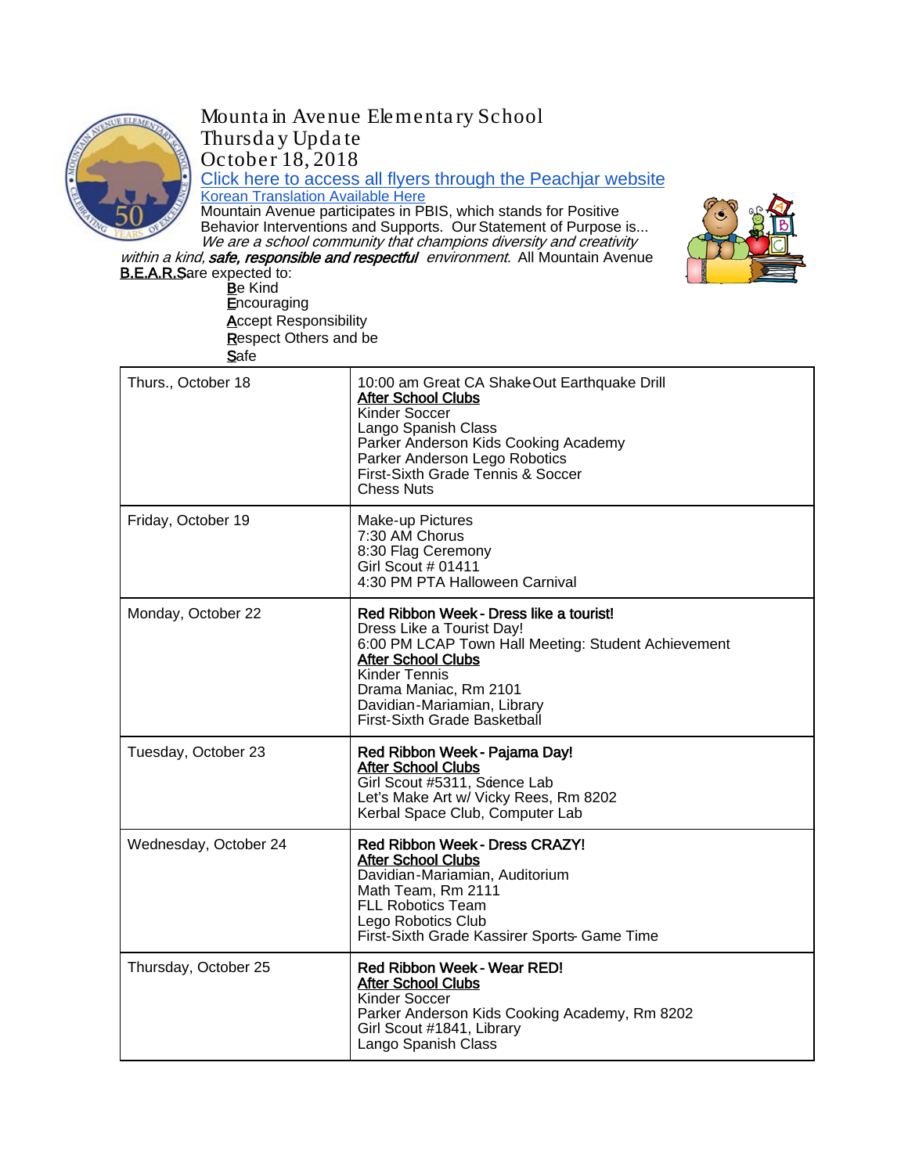

Mounta in Avenue Elementa ry School Thursda y Upda te October 18, 2018 Click here to access all flyers through the Peachjar website<br>Korean Translation Available Here

Mountain Avenue participates in PBIS, which stands for Positive Behavior Interventions and Supports. Our Statement of Purpose is... We are a school community that champions diversity and creativity



within a kind, safe, responsible and respectful environment. All Mountain Avenue **B.E.A.R.Sare expected to:** 

Be Kind **Encouraging Accept Responsibility** Respect Others and be **Safe** 

| Thurs., October 18    | 10:00 am Great CA ShakeOut Earthquake Drill<br><b>After School Clubs</b><br><b>Kinder Soccer</b><br>Lango Spanish Class<br>Parker Anderson Kids Cooking Academy<br>Parker Anderson Lego Robotics<br>First-Sixth Grade Tennis & Soccer<br><b>Chess Nuts</b>                      |
|-----------------------|---------------------------------------------------------------------------------------------------------------------------------------------------------------------------------------------------------------------------------------------------------------------------------|
| Friday, October 19    | Make-up Pictures<br>7:30 AM Chorus<br>8:30 Flag Ceremony<br>Girl Scout # 01411<br>4:30 PM PTA Halloween Carnival                                                                                                                                                                |
| Monday, October 22    | Red Ribbon Week - Dress like a tourist!<br>Dress Like a Tourist Day!<br>6:00 PM LCAP Town Hall Meeting: Student Achievement<br><b>After School Clubs</b><br><b>Kinder Tennis</b><br>Drama Maniac, Rm 2101<br>Davidian-Mariamian, Library<br><b>First-Sixth Grade Basketball</b> |
| Tuesday, October 23   | Red Ribbon Week - Pajama Day!<br><b>After School Clubs</b><br>Girl Scout #5311, Scence Lab<br>Let's Make Art w/ Vicky Rees, Rm 8202<br>Kerbal Space Club, Computer Lab                                                                                                          |
| Wednesday, October 24 | Red Ribbon Week - Dress CRAZY!<br><b>After School Clubs</b><br>Davidian-Mariamian, Auditorium<br>Math Team, Rm 2111<br><b>FLL Robotics Team</b><br>Lego Robotics Club<br>First-Sixth Grade Kassirer Sports- Game Time                                                           |
| Thursday, October 25  | Red Ribbon Week - Wear RED!<br><b>After School Clubs</b><br>Kinder Soccer<br>Parker Anderson Kids Cooking Academy, Rm 8202<br>Girl Scout #1841, Library<br>Lango Spanish Class                                                                                                  |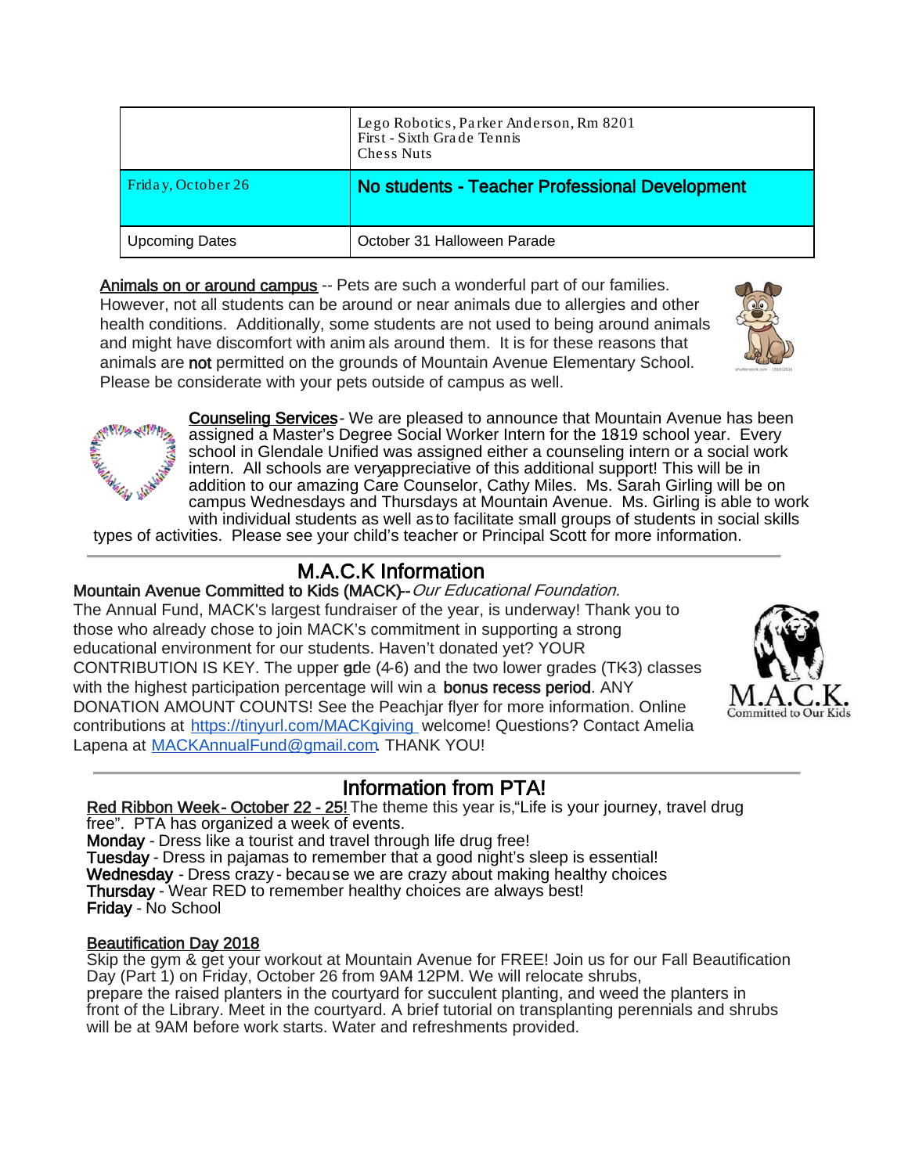|                       | Lego Robotics, Parker Anderson, Rm 8201<br>First - Sixth Grade Tennis<br>Chess Nuts |
|-----------------------|-------------------------------------------------------------------------------------|
| Friday, October 26    | No students - Teacher Professional Development                                      |
| <b>Upcoming Dates</b> | October 31 Halloween Parade                                                         |

Animals on or around campus -- Pets are such a wonderful part of our families. However, not all students can be around or near animals due to allergies and other health conditions. Additionally, some students are not used to being around animals and might have discomfort with anim als around them. It is for these reasons that animals are not permitted on the grounds of Mountain Avenue Elementary School. Please be considerate with your pets outside of campus as well.





Counseling Services- We are pleased to announce that Mountain Avenue has been assigned a Master's Degree Social Worker Intern for the 1819 school year. Every school in Glendale Unified was assigned either a counseling intern or a social work intern. All schools are very appreciative of this additional support! This will be in addition to our amazing Care Counselor, Cathy Miles. Ms. Sarah Girling will be on campus Wednesdays and Thursdays at Mountain Avenue. Ms. Girling is able to work with individual students as well as to facilitate small groups of students in social skills

types of activities. Please see your child's teacher or Principal Scott for more information.

#### M.A.C.K Information

#### Mountain Avenue Committed to Kids (MACK)-- Our Educational Foundation.

The Annual Fund, MACK's largest fundraiser of the year, is underway! Thank you to those who already chose to join MACK's commitment in supporting a strong educational environment for our students. Haven't donated yet? YOUR CONTRIBUTION IS KEY. The upper  $gde(4-6)$  and the two lower grades (TK3) classes with the highest participation percentage will win a bonus recess period. ANY DONATION AMOUNT COUNTS! See the Peachjar flyer for more information. Online contributions at<https://tinyurl.com/MACKgiving> welcome! Questions? Contact Amelia Lapena at MACKAnnualFund@gmail.com. THANK YOU!



#### Information from PTA!

Red Ribbon Week - October 22 - 25! The theme this year is, "Life is your journey, travel drug free". PTA has organized a week of events. Monday - Dress like a tourist and travel through life drug free! Tuesday - Dress in pajamas to remember that a good night's sleep is essential! Wednesday - Dress crazy - because we are crazy about making healthy choices Thursday - Wear RED to remember healthy choices are always best! Friday - No School

#### Beautification Day 2018

Skip the gym & get your workout at Mountain Avenue for FREE! Join us for our Fall Beautification Day (Part 1) on Friday, October 26 from 9AM 12PM. We will relocate shrubs, prepare the raised planters in the courtyard for succulent planting, and weed the planters in front of the Library. Meet in the courtyard. A brief tutorial on transplanting perennials and shrubs will be at 9AM before work starts. Water and refreshments provided.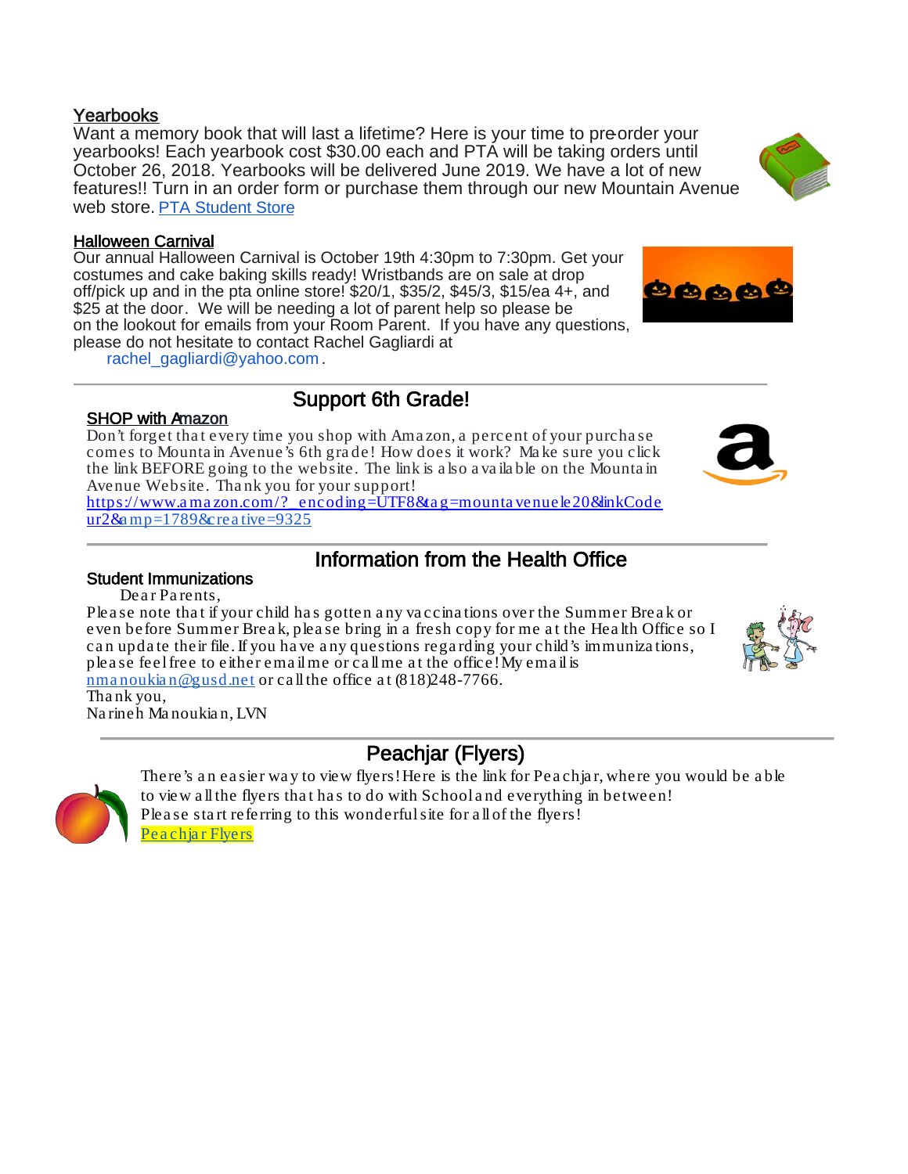Want a memory book that will last a lifetime? Here is your time to pre-order your yearbooks! Each yearbook cost \$30.00 each and PTA will be taking orders until October 26, 2018. Yearbooks will be delivered June 2019. We have a lot of new features!! Turn in an order form or purchase them through our new Mountain Avenue web store. [PTA Student Store](https://mountainavenue.myschoolcentral.com/) 

#### Halloween Carnival

Our annual Halloween Carnival is October 19th 4:30pm to 7:30pm. Get your costumes and cake baking skills ready! Wristbands are on sale at drop off/pick up and in the pta online store! \$20/1, \$35/2, \$45/3, \$15/ea 4+, and \$25 at the door. We will be needing a lot of parent help so please be on the lookout for emails from your Room Parent. If you have any questions, please do not hesitate to contact Rachel Gagliardi at

rachel\_gagliardi@yahoo.com .

# Support 6th Grade!

Don't forget tha t every time you shop with Ama zon, a percent of your purcha se comes to Mounta in Avenue's 6th gra de! How does it work? Ma ke sure you click the link BEFORE going to the website. The link is a lso a va ila ble on the Mounta in Avenue Website. Tha nk you for your support!

[https://www.a ma zon.com/?\\_encoding=UTF8&ta g=mounta venuele20&linkCode](https://www.amazon.com/?_encoding=UTF8&tag=mountavenuele20&linkCodeur2&)  $ur2&a$  $ur2&a$  mp=1789&crea tive=9325

## Information from the Health Office<br>Student Immunizations

Dear Parents,

Please note that if your child has gotten any vaccinations over the Summer Break or even before Summer Break, please bring in a fresh copy for me at the Health Office so I ca n upda te their file. If you ha ve a ny questions rega rding your child's immuniza tions, plea se feel free to either ema il me or call me a t the office! My ema il is [nma noukia n@gusd.net](mailto:nmanoukian@gusd.net) or ca ll the office a t (818)248-7766.

Tha nk you, Na rineh Ma noukia n, LVN

#### Peachjar (Flyers)

There's an easier way to view flyers! Here is the link for Peachiar, where you would be able to view a ll the flyers tha t ha s to do with School a nd everything in between! Please start referring to this wonderful site for all of the flyers! Pea chiar Flyers







9000

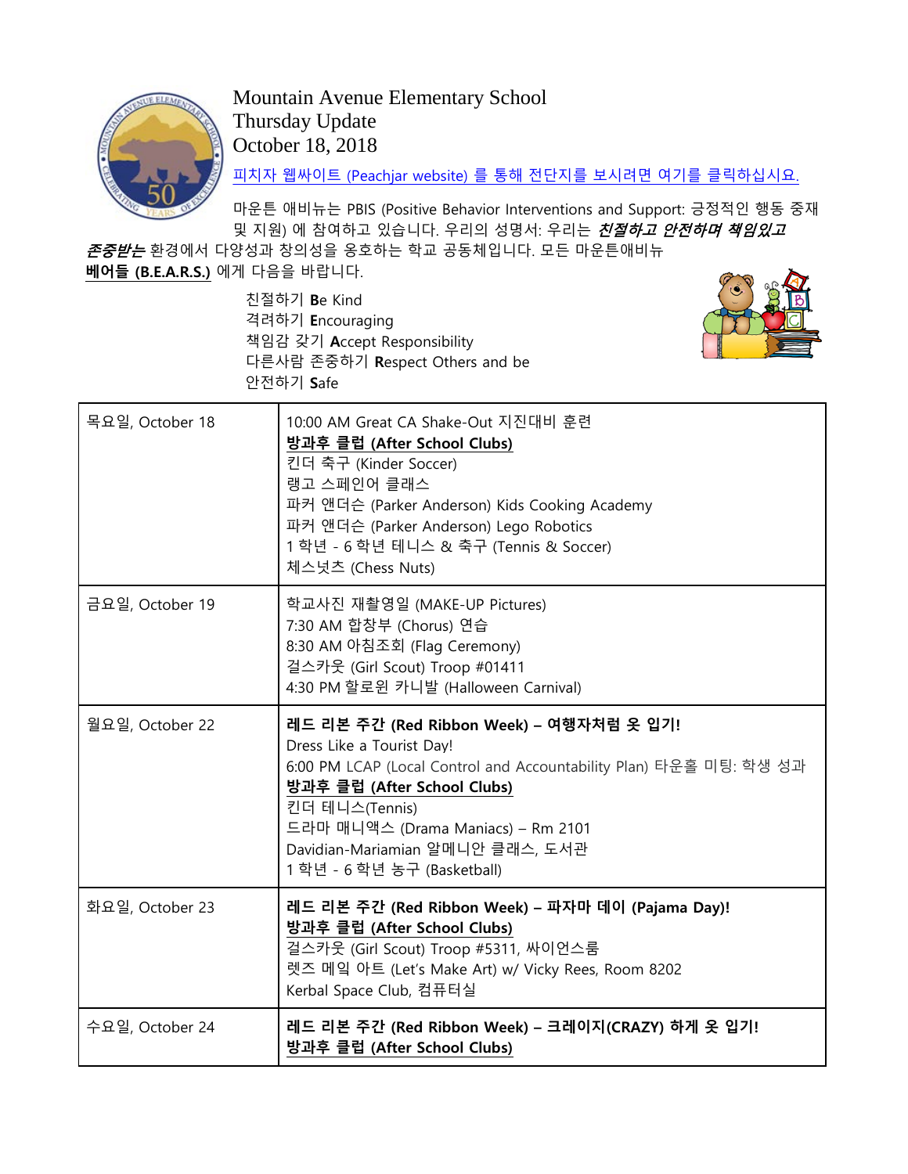

Mountain Avenue Elementary School Thursday Update October 18, 2018

피치자 웹싸이트 [\(Peachjar website\)](https://app.peachjar.com/flyers/all/schools/55122) 를 통해 전단지를 보시려면 여기를 클릭하십시요.

마운튼 애비뉴는 PBIS (Positive Behavior Interventions and Support: 긍정적인 행동 중재 및 지원) 에 참여하고 있습니다. 우리의 성명서: 우리는 *친절하고 안전하며 책임있고* 

존중받는 환경에서 다양성과 창의성을 옹호하는 학교 공동체입니다. 모든 마운튼애비뉴 **베어들 (B.E.A.R.S.)** 에게 다음을 바랍니다.

> 친절하기 **B**e Kind 격려하기 **E**ncouraging 책임감 갖기 **A**ccept Responsibility 다른사람 존중하기 **R**espect Others and be 안전하기 **S**afe



| 목요일, October 18 | 10:00 AM Great CA Shake-Out 지진대비 훈련<br>방과후 클럽 (After School Clubs)<br>킨더 축구 (Kinder Soccer)<br>랭고 스페인어 클래스<br>파커 앤더슨 (Parker Anderson) Kids Cooking Academy<br>파커 앤더슨 (Parker Anderson) Lego Robotics<br>1 학년 - 6 학년 테니스 & 축구 (Tennis & Soccer)<br>체스넛츠 (Chess Nuts)                                  |
|-----------------|-------------------------------------------------------------------------------------------------------------------------------------------------------------------------------------------------------------------------------------------------------------------------------------------------------|
| 금요일, October 19 | 학교사진 재촬영일 (MAKE-UP Pictures)<br>7:30 AM 합창부 (Chorus) 연습<br>8:30 AM 아침조회 (Flag Ceremony)<br>걸스카웃 (Girl Scout) Troop #01411<br>4:30 PM 할로윈 카니발 (Halloween Carnival)                                                                                                                                     |
| 월요일, October 22 | 레드 리본 주간 (Red Ribbon Week) – 여행자처럼 옷 입기!<br>Dress Like a Tourist Day!<br>6:00 PM LCAP (Local Control and Accountability Plan) 타운홀 미팅: 학생 성과<br>방과후 클럽 (After School Clubs)<br>킨더 테니스(Tennis)<br>드라마 매니액스 (Drama Maniacs) – Rm 2101<br>Davidian-Mariamian 알메니안 클래스, 도서관<br>1 학년 - 6 학년 농구 (Basketball) |
| 화요일, October 23 | 레드 리본 주간 (Red Ribbon Week) – 파자마 데이 (Pajama Day)!<br>방과후 클럽 (After School Clubs)<br>걸스카웃 (Girl Scout) Troop #5311, 싸이언스룸<br>렛즈 메잌 아트 (Let's Make Art) w/ Vicky Rees, Room 8202<br>Kerbal Space Club, 컴퓨터실                                                                                             |
| 수요일, October 24 | 레드 리본 주간 (Red Ribbon Week) – 크레이지(CRAZY) 하게 옷 입기!<br>방과후 클럽 (After School Clubs)                                                                                                                                                                                                                      |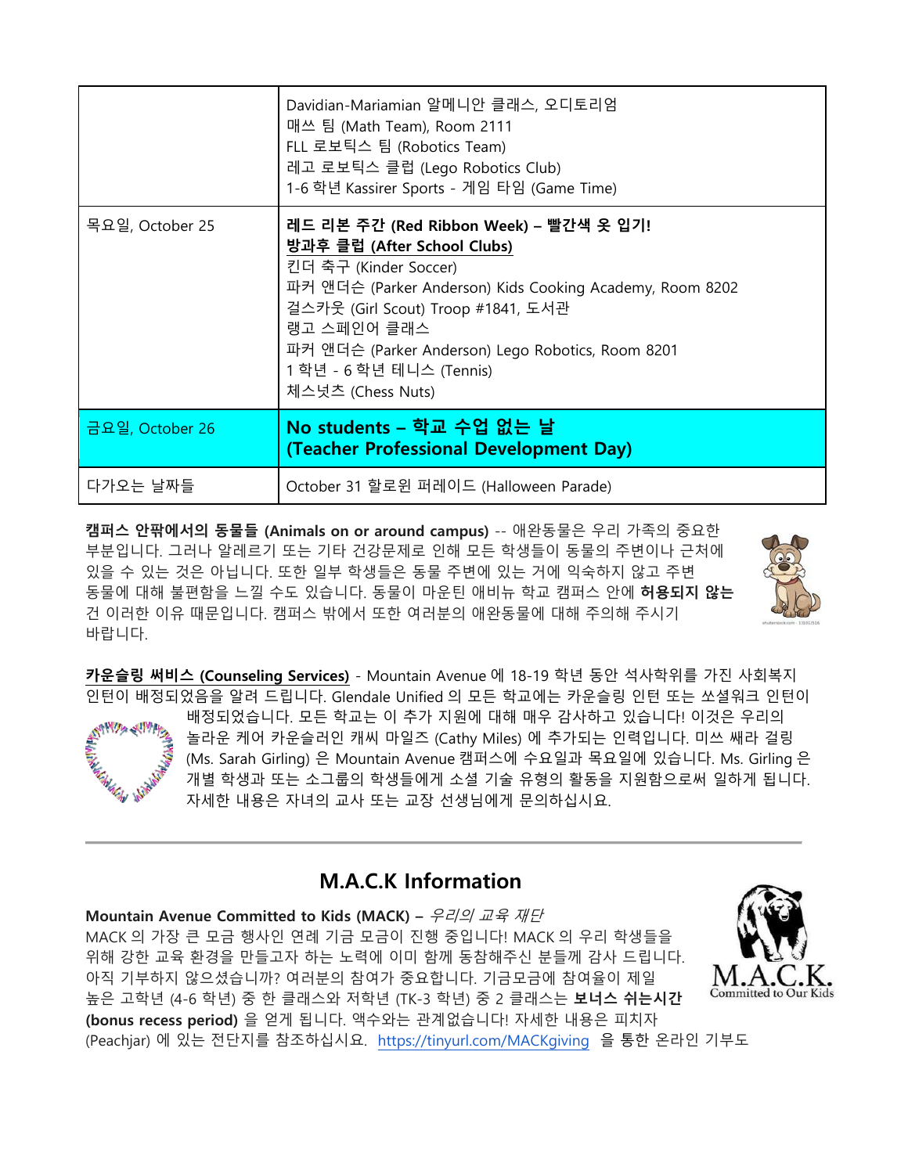|                 | Davidian-Mariamian 알메니안 클래스, 오디토리엄<br>매쓰 팀 (Math Team), Room 2111<br>FLL 로보틱스 팀 (Robotics Team)<br>레고 로보틱스 클럽 (Lego Robotics Club)<br>1-6 학년 Kassirer Sports - 게임 타임 (Game Time)                                                                                                                                      |
|-----------------|-----------------------------------------------------------------------------------------------------------------------------------------------------------------------------------------------------------------------------------------------------------------------------------------------------------------------|
| 목요일, October 25 | 레드 리본 주간 (Red Ribbon Week) – 빨간색 옷 입기!<br>방과후 클럽 (After School Clubs)<br>킨더 축구 (Kinder Soccer)<br>파커 앤더슨 (Parker Anderson) Kids Cooking Academy, Room 8202<br>걸스카웃 (Girl Scout) Troop #1841, 도서관<br>랭고 스페인어 클래스<br>파커 앤더슨 (Parker Anderson) Lego Robotics, Room 8201<br>1 학년 - 6 학년 테니스 (Tennis)<br>체스넛츠 (Chess Nuts) |
| 금요일, October 26 | No students – 학교 수업 없는 날<br>(Teacher Professional Development Day)                                                                                                                                                                                                                                                    |
| 다가오는 날짜들        | October 31 할로윈 퍼레이드 (Halloween Parade)                                                                                                                                                                                                                                                                                |

**캠퍼스 안팎에서의 동물들 (Animals on or around campus)** -- 애완동물은 우리 가족의 중요한 부분입니다. 그러나 알레르기 또는 기타 건강문제로 인해 모든 학생들이 동물의 주변이나 근처에 있을 수 있는 것은 아닙니다. 또한 일부 학생들은 동물 주변에 있는 거에 익숙하지 않고 주변 동물에 대해 불편함을 느낄 수도 있습니다. 동물이 마운틴 애비뉴 학교 캠퍼스 안에 **허용되지 않는** 건 이러한 이유 때문입니다. 캠퍼스 밖에서 또한 여러분의 애완동물에 대해 주의해 주시기 바랍니다.



**카운슬링 써비스 (Counseling Services)** - Mountain Avenue 에 18-19 학년 동안 석사학위를 가진 사회복지 인턴이 배정되었음을 알려 드립니다. Glendale Unified 의 모든 학교에는 카운슬링 인턴 또는 쏘셜워크 인턴이 배정되었습니다. 모든 학교는 이 추가 지원에 대해 매우 감사하고 있습니다! 이것은 우리의 놀라운 케어 카운슬러인 캐씨 마일즈 (Cathy Miles) 에 추가되는 인력입니다. 미쓰 쌔라 걸링 (Ms. Sarah Girling) 은 Mountain Avenue 캠퍼스에 수요일과 목요일에 있습니다. Ms. Girling 은 개별 학생과 또는 소그룹의 학생들에게 소셜 기술 유형의 활동을 지원함으로써 일하게 됩니다. 자세한 내용은 자녀의 교사 또는 교장 선생님에게 문의하십시요.

#### **M.A.C.K Information**

**Mountain Avenue Committed to Kids (MACK) –** 우리의 교육 재단 MACK 의 가장 큰 모금 행사인 연례 기금 모금이 진행 중입니다! MACK 의 우리 학생들을 위해 강한 교육 환경을 만들고자 하는 노력에 이미 함께 동참해주신 분들께 감사 드립니다. 아직 기부하지 않으셨습니까? 여러분의 참여가 중요합니다. 기금모금에 참여율이 제일 높은 고학년 (4-6 학년) 중 한 클래스와 저학년 (TK-3 학년) 중 2 클래스는 **보너스 쉬는시간 (bonus recess period)** 을 얻게 됩니다. 액수와는 관계없습니다! 자세한 내용은 피치자 (Peachjar) 에 있는 전단지를 참조하십시요. <https://tinyurl.com/MACKgiving> 을 통한 온라인 기부도

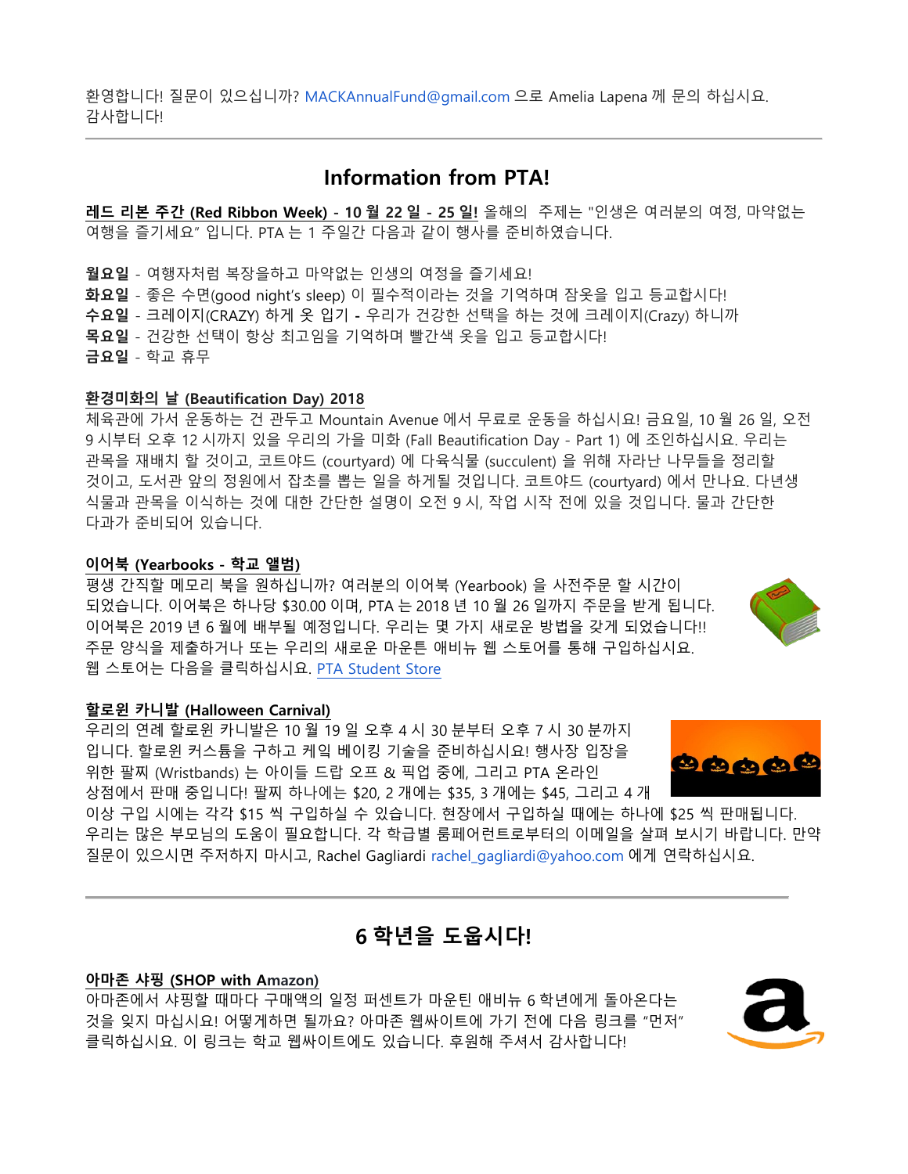환영합니다! 질문이 있으십니까? MACKAnnualFund@gmail.com 으로 Amelia Lapena 께 문의 하십시요. 감사합니다!

#### **Information from PTA!**

**레드 리본 주간 (Red Ribbon Week) - 10 월 22 일 - 25 일!** 올해의 주제는 "인생은 여러분의 여정, 마약없는 여행을 즐기세요" 입니다. PTA 는 1 주일간 다음과 같이 행사를 준비하였습니다.

**월요일** - 여행자처럼 복장을하고 마약없는 인생의 여정을 즐기세요! **화요일** - 좋은 수면(good night's sleep) 이 필수적이라는 것을 기억하며 잠옷을 입고 등교합시다! **수요일** - 크레이지(CRAZY) 하게 옷 입기 **-** 우리가 건강한 선택을 하는 것에 크레이지(Crazy) 하니까 **목요일** - 건강한 선택이 항상 최고임을 기억하며 빨간색 옷을 입고 등교합시다! **금요일** - 학교 휴무

#### **환경미화의 날 (Beautification Day) 2018**

체육관에 가서 운동하는 건 관두고 Mountain Avenue 에서 무료로 운동을 하십시요! 금요일, 10 월 26 일, 오전 9 시부터 오후 12 시까지 있을 우리의 가을 미화 (Fall Beautification Day - Part 1) 에 조인하십시요. 우리는 관목을 재배치 할 것이고, 코트야드 (courtyard) 에 다육식물 (succulent) 을 위해 자라난 나무들을 정리할 것이고, 도서관 앞의 정원에서 잡초를 뽑는 일을 하게될 것입니다. 코트야드 (courtyard) 에서 만나요. 다년생 식물과 관목을 이식하는 것에 대한 간단한 설명이 오전 9 시, 작업 시작 전에 있을 것입니다. 물과 간단한 다과가 준비되어 있습니다.

#### **이어북 (Yearbooks - 학교 앨범)**

평생 간직할 메모리 북을 원하십니까? 여러분의 이어북 (Yearbook) 을 사전주문 할 시간이 되었습니다. 이어북은 하나당 \$30.00 이며, PTA 는 2018 년 10 월 26 일까지 주문을 받게 됩니다. 이어북은 2019 년 6 월에 배부될 예정입니다. 우리는 몇 가지 새로운 방법을 갖게 되었습니다!! 주문 양식을 제출하거나 또는 우리의 새로운 마운튼 애비뉴 웹 스토어를 통해 구입하십시요. 웹 스토어는 다음을 클릭하십시요. [PTA Student Store](https://mountainavenue.myschoolcentral.com/) 

#### **할로윈 카니발 (Halloween Carnival)**

우리의 연례 할로윈 카니발은 10 월 19 일 오후 4 시 30 분부터 오후 7 시 30 분까지 입니다. 할로윈 커스튬을 구하고 케잌 베이킹 기술을 준비하십시요! 행사장 입장을 위한 팔찌 (Wristbands) 는 아이들 드랍 오프 & 픽업 중에, 그리고 PTA 온라인 상점에서 판매 중입니다! 팔찌 하나에는 \$20, 2 개에는 \$35, 3 개에는 \$45, 그리고 4 개

이상 구입 시에는 각각 \$15 씩 구입하실 수 있습니다. 현장에서 구입하실 때에는 하나에 \$25 씩 판매됩니다. 우리는 많은 부모님의 도움이 필요합니다. 각 학급별 룸페어런트로부터의 이메일을 살펴 보시기 바랍니다. 만약 질문이 있으시면 주저하지 마시고, Rachel Gagliardi rachel\_gagliardi@yahoo.com 에게 연락하십시요.

#### **6 학년을 도웁시다!**

#### **아마존 샤핑 (SHOP with Amazon)**

아마존에서 샤핑할 때마다 구매액의 일정 퍼센트가 마운틴 애비뉴 6 학년에게 돌아온다는 것을 잊지 마십시요! 어떻게하면 될까요? 아마존 웹싸이트에 가기 전에 다음 링크를 "먼저" 클릭하십시요. 이 링크는 학교 웹싸이트에도 있습니다. 후원해 주셔서 감사합니다!